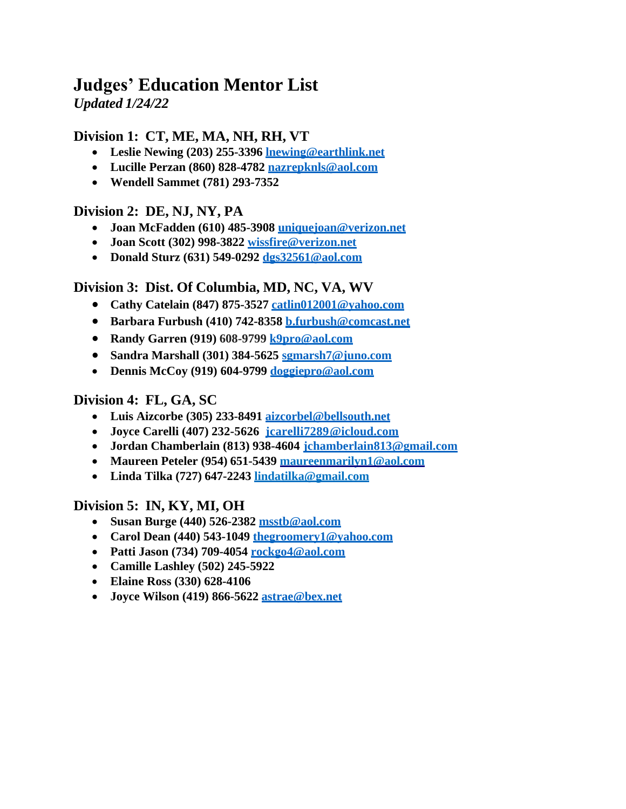# **Judges' Education Mentor List**

*Updated 1/24/22*

# **Division 1: CT, ME, MA, NH, RH, VT**

- **Leslie Newing (203) 255-3396 [lnewing@earthlink.net](mailto:lnewing@earthlink.net)**
- **Lucille Perzan (860) 828-4782 [nazrepknls@aol.com](mailto:nazrepknls@aol.com)**
- **Wendell Sammet (781) 293-7352**

## **Division 2: DE, NJ, NY, PA**

- **Joan McFadden (610) 485-3908 [uniquejoan@verizon.net](mailto:uniquejoan@verizon.net)**
- **Joan Scott (302) 998-3822 [wissfire@verizon.net](mailto:wissfire@verizon.net)**
- **Donald Sturz (631) 549-0292 [dgs32561@aol.com](mailto:dgs32561@aol.com)**

## **Division 3: Dist. Of Columbia, MD, NC, VA, WV**

- **Cathy Catelain (847) 875-3527 [catlin012001@yahoo.com](mailto:catlin012001@yahoo.com)**
- **Barbara Furbush (410) 742-8358 [b.furbush@comcast.net](mailto:b.furbush@comcast.net)**
- **Randy Garren (919) 608-9799 [k9](mailto:k9pro@aol.com)[pro@aol.com](mailto:pro@aol.com)**
- **Sandra Marshall (301) 384-5625 [sgmarsh7@juno.com](mailto:sgmarsh7@juno.com)**
- **Dennis McCoy (919) 604-9799 [doggiepro@aol.com](mailto:doggiepro@aol.com)**

# **Division 4: FL, GA, SC**

- **Luis Aizcorbe (305) 233-8491 [aizcorbel@bellsouth.net](mailto:aizcorbel@bellsouth.net)**
- **Joyce Carelli (407) 232-5626 jcarelli7289@icloud.com**
- **Jordan Chamberlain (813) 938-4604 [jchamberlain813@gmail.com](mailto:jchamberlain813@gmail.com)**
- **Maureen Peteler (954) 651-5439 [maureenmarilyn1@aol.com](mailto:maureenmarilyn1@aol.com)**
- **Linda Tilka (727) 647-2243 [lindatilka@gmail.com](mailto:lindatilka@gmail.com)**

#### **Division 5: IN, KY, MI, OH**

- **Susan Burge (440) 526-2382 [msstb@aol.com](mailto:msstb@aol.com)**
- **Carol Dean (440) 543-1049 [thegroomery1@yahoo.com](mailto:thegroomery1@yahoo.com)**
- **Patti Jason (734) 709-4054 [rockgo4@aol.com](mailto:rockgo4@aol.com)**
- **Camille Lashley (502) 245-5922**
- **Elaine Ross (330) 628-4106**
- **Joyce Wilson (419) 866-5622 [astrae@bex.net](mailto:astrae@bex.net)**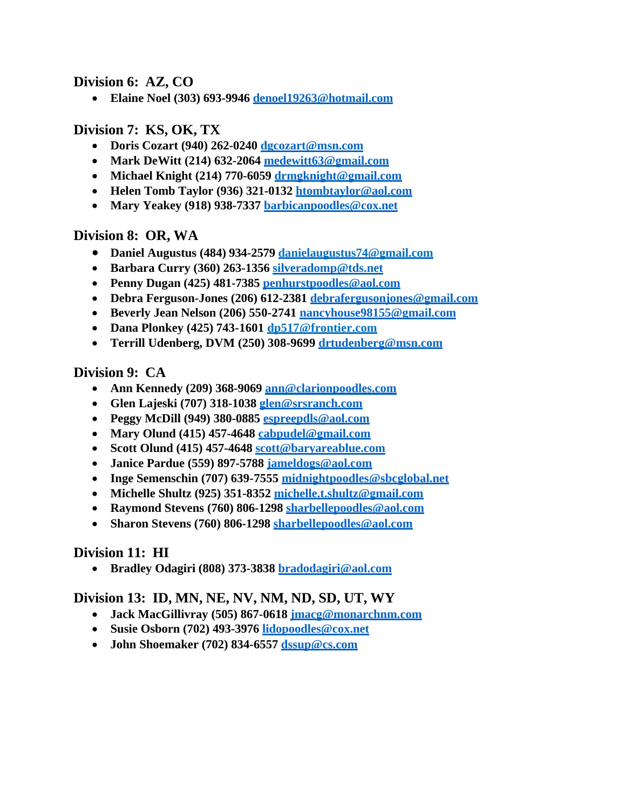#### **Division 6: AZ, CO**

• **Elaine Noel (303) 693-9946 [denoel19263@hotmail.com](mailto:denoel19263@hotmail.com)**

### **Division 7: KS, OK, TX**

- **Doris Cozart (940) 262-0240 [dgcozart@msn.com](mailto:dgcozart@msn.com)**
- **Mark DeWitt (214) 632-2064 [medewitt63@gmail.com](mailto:medewitt63@gmail.com)**
- **Michael Knight (214) 770-6059 [drmgknight@gmail.com](mailto:drmgknight@gmail.com)**
- **Helen Tomb Taylor (936) 321-0132 [htombtaylor@aol.com](mailto:htombtaylor@aol.com)**
- **Mary Yeakey (918) 938-7337 [barbicanpoodles@cox.net](mailto:barbicanpoodles@cox.net)**

## **Division 8: OR, WA**

- **Daniel Augustus (484) 934-2579 [danielaugustus74@gmail.com](mailto:danielaugustus74@gmail.com)**
- **Barbara Curry (360) 263-1356 [silveradomp@tds.net](mailto:silveradomp@tds.net)**
- **Penny Dugan (425) 481-7385 [penhurstpoodles@aol.com](mailto:penhurstpoodles@aol.com)**
- **Debra Ferguson-Jones (206) 612-2381 [debrafergusonjones@gmail.com](mailto:debrafergusonjones@gmail.com)**
- **Beverly Jean Nelson (206) 550-2741 [nancyhouse98155@gmail.com](mailto:nancyhouse98155@gmail.com)**
- **Dana Plonkey (425) 743-1601 [dp517@frontier.com](mailto:dp517@frontier.com)**
- **Terrill Udenberg, DVM (250) 308-9699 [drtudenberg@msn.com](mailto:drtudenberg@msn.com)**

#### **Division 9: CA**

- **Ann Kennedy (209) 368-9069 [ann@clarionpoodles.com](mailto:ann@clarionpoodles.com)**
- **Glen Lajeski (707) 318-1038 [glen@srsranch.com](mailto:glen@srsranch.com)**
- **Peggy McDill (949) 380-0885 [espreepdls@aol.com](mailto:espreepdls@aol.com)**
- **Mary Olund (415) 457-4648 [cabpudel@gmail.com](mailto:cabpudel@gmail.com)**
- **Scott Olund (415) 457-4648 [scott@baryareablue.com](mailto:scott@baryareablue.com)**
- **Janice Pardue (559) 897-5788 [jameldogs@aol.com](mailto:jameldogs@aol.com)**
- **Inge Semenschin (707) 639-7555 [midnightpoodles@sbcglobal.net](mailto:midnightpoodles@sbcglobal.net)**
- **Michelle Shultz (925) 351-8352 [michelle.t.shultz@gmail.com](mailto:michelle.t.shultz@gmail.com)**
- **Raymond Stevens (760) 806-1298 [sharbellepoodles@aol.com](mailto:sharbellepoodles@aol.com)**
- **Sharon Stevens (760) 806-1298 [sharbellepoodles@aol.com](mailto:sharbellepoodles@aol.com)**

# **Division 11: HI**

• **Bradley Odagiri (808) 373-3838 [bradodagiri@aol.com](mailto:bradodagiri@aol.com)**

#### **Division 13: ID, MN, NE, NV, NM, ND, SD, UT, WY**

- **Jack MacGillivray (505) 867-0618 [jmacg@monarchnm.com](mailto:jmacg@monarchnm.com)**
- **Susie Osborn (702) 493-3976 [lidopoodles@cox.net](mailto:lidopoodles@cox.net)**
- **John Shoemaker (702) 834-6557 [dss](mailto:dssup@cs.com)[up@cs.com](mailto:up@cs.com)**